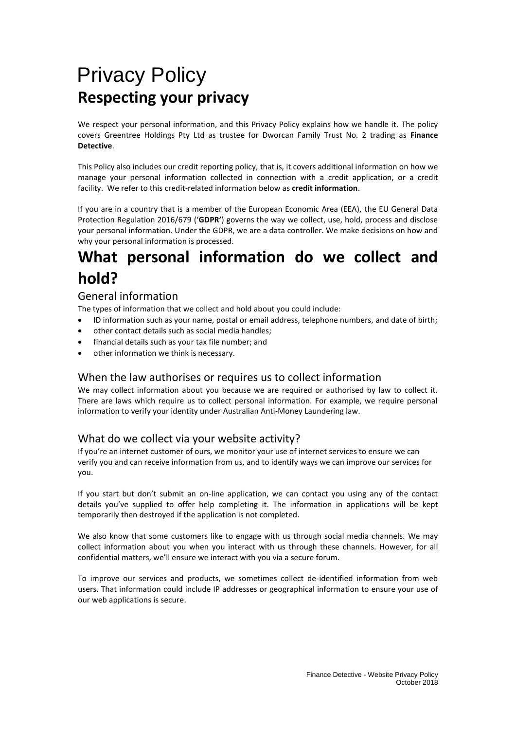# Privacy Policy **Respecting your privacy**

We respect your personal information, and this Privacy Policy explains how we handle it. The policy covers Greentree Holdings Pty Ltd as trustee for Dworcan Family Trust No. 2 trading as **Finance Detective**.

This Policy also includes our credit reporting policy, that is, it covers additional information on how we manage your personal information collected in connection with a credit application, or a credit facility. We refer to this credit-related information below as **credit information**.

If you are in a country that is a member of the European Economic Area (EEA), the EU General Data Protection Regulation 2016/679 ('**GDPR'**) governs the way we collect, use, hold, process and disclose your personal information. Under the GDPR, we are a data controller. We make decisions on how and why your personal information is processed.

# **What personal information do we collect and hold?**

## General information

The types of information that we collect and hold about you could include:

- ID information such as your name, postal or email address, telephone numbers, and date of birth;
- other contact details such as social media handles;
- financial details such as your tax file number; and
- other information we think is necessary.

### When the law authorises or requires us to collect information

We may collect information about you because we are required or authorised by law to collect it. There are laws which require us to collect personal information. For example, we require personal information to verify your identity under Australian Anti-Money Laundering law.

## What do we collect via your website activity?

If you're an internet customer of ours, we monitor your use of internet services to ensure we can verify you and can receive information from us, and to identify ways we can improve our services for you.

If you start but don't submit an on-line application, we can contact you using any of the contact details you've supplied to offer help completing it. The information in applications will be kept temporarily then destroyed if the application is not completed.

We also know that some customers like to engage with us through social media channels. We may collect information about you when you interact with us through these channels. However, for all confidential matters, we'll ensure we interact with you via a secure forum.

To improve our services and products, we sometimes collect de-identified information from web users. That information could include IP addresses or geographical information to ensure your use of our web applications is secure.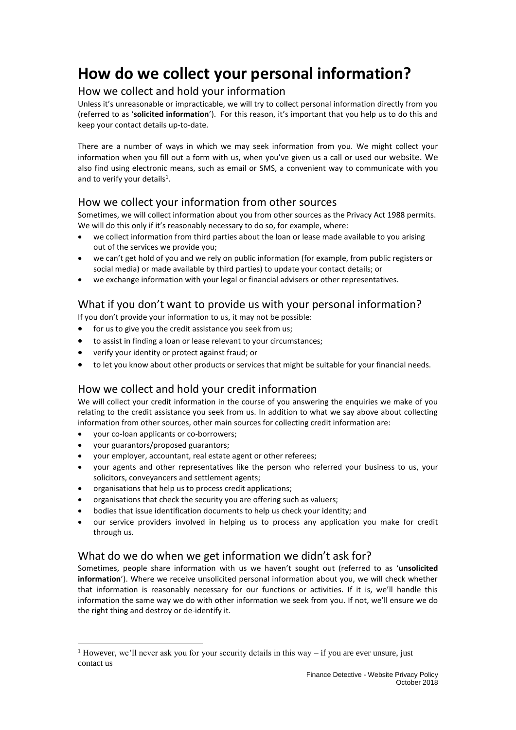# **How do we collect your personal information?**

### How we collect and hold your information

Unless it's unreasonable or impracticable, we will try to collect personal information directly from you (referred to as '**solicited information**'). For this reason, it's important that you help us to do this and keep your contact details up-to-date.

There are a number of ways in which we may seek information from you. We might collect your information when you fill out a form with us, when you've given us a call or used our website. We also find using electronic means, such as email or SMS, a convenient way to communicate with you and to verify your details<sup>1</sup>.

## How we collect your information from other sources

Sometimes, we will collect information about you from other sources as the Privacy Act 1988 permits. We will do this only if it's reasonably necessary to do so, for example, where:

- we collect information from third parties about the loan or lease made available to you arising out of the services we provide you;
- we can't get hold of you and we rely on public information (for example, from public registers or social media) or made available by third parties) to update your contact details; or
- we exchange information with your legal or financial advisers or other representatives.

## What if you don't want to provide us with your personal information?

If you don't provide your information to us, it may not be possible:

- for us to give you the credit assistance you seek from us;
- to assist in finding a loan or lease relevant to your circumstances;
- verify your identity or protect against fraud; or
- to let you know about other products or services that might be suitable for your financial needs.

## How we collect and hold your credit information

We will collect your credit information in the course of you answering the enquiries we make of you relating to the credit assistance you seek from us. In addition to what we say above about collecting information from other sources, other main sources for collecting credit information are:

- your co-loan applicants or co-borrowers;
- your guarantors/proposed guarantors;

 $\overline{a}$ 

- your employer, accountant, real estate agent or other referees;
- your agents and other representatives like the person who referred your business to us, your solicitors, conveyancers and settlement agents;
- organisations that help us to process credit applications;
- organisations that check the security you are offering such as valuers;
- bodies that issue identification documents to help us check your identity; and
- our service providers involved in helping us to process any application you make for credit through us.

## What do we do when we get information we didn't ask for?

Sometimes, people share information with us we haven't sought out (referred to as '**unsolicited information**'). Where we receive unsolicited personal information about you, we will check whether that information is reasonably necessary for our functions or activities. If it is, we'll handle this information the same way we do with other information we seek from you. If not, we'll ensure we do the right thing and destroy or de-identify it.

<sup>&</sup>lt;sup>1</sup> However, we'll never ask you for your security details in this way – if you are ever unsure, just contact us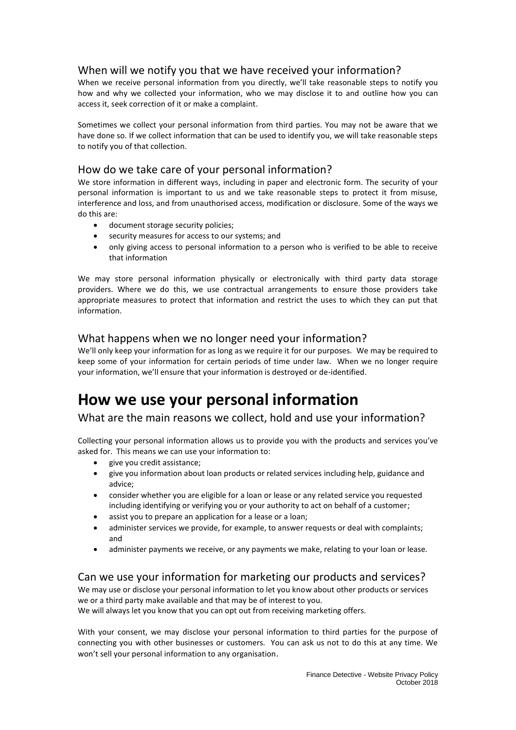## When will we notify you that we have received your information?

When we receive personal information from you directly, we'll take reasonable steps to notify you how and why we collected your information, who we may disclose it to and outline how you can access it, seek correction of it or make a complaint.

Sometimes we collect your personal information from third parties. You may not be aware that we have done so. If we collect information that can be used to identify you, we will take reasonable steps to notify you of that collection.

### How do we take care of your personal information?

We store information in different ways, including in paper and electronic form. The security of your personal information is important to us and we take reasonable steps to protect it from misuse, interference and loss, and from unauthorised access, modification or disclosure. Some of the ways we do this are:

- document storage security policies;
- security measures for access to our systems; and
- only giving access to personal information to a person who is verified to be able to receive that information

We may store personal information physically or electronically with third party data storage providers. Where we do this, we use contractual arrangements to ensure those providers take appropriate measures to protect that information and restrict the uses to which they can put that information.

### What happens when we no longer need your information?

We'll only keep your information for as long as we require it for our purposes. We may be required to keep some of your information for certain periods of time under law. When we no longer require your information, we'll ensure that your information is destroyed or de-identified.

## **How we use your personal information**

## What are the main reasons we collect, hold and use your information?

Collecting your personal information allows us to provide you with the products and services you've asked for. This means we can use your information to:

- give you credit assistance;
- give you information about loan products or related services including help, guidance and advice;
- consider whether you are eligible for a loan or lease or any related service you requested including identifying or verifying you or your authority to act on behalf of a customer;
- assist you to prepare an application for a lease or a loan;
- administer services we provide, for example, to answer requests or deal with complaints; and
- administer payments we receive, or any payments we make, relating to your loan or lease.

## Can we use your information for marketing our products and services?

We may use or disclose your personal information to let you know about other products or services we or a third party make available and that may be of interest to you.

We will always let you know that you can opt out from receiving marketing offers.

With your consent, we may disclose your personal information to third parties for the purpose of connecting you with other businesses or customers. You can ask us not to do this at any time. We won't sell your personal information to any organisation.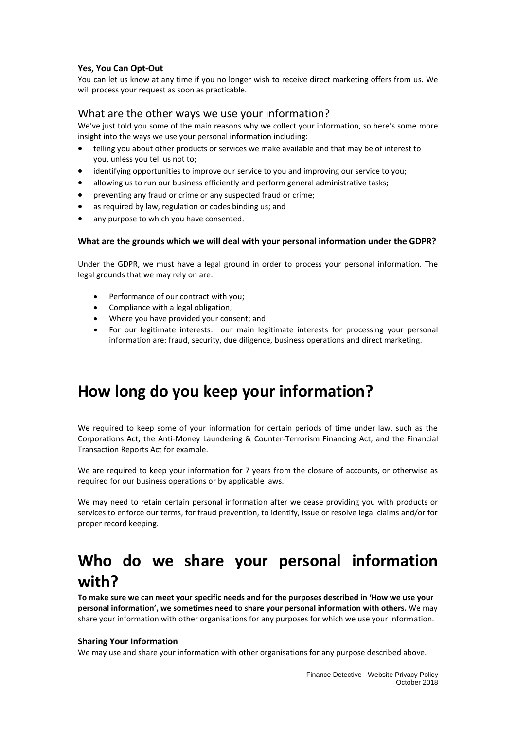### **Yes, You Can Opt-Out**

You can let us know at any time if you no longer wish to receive direct marketing offers from us. We will process your request as soon as practicable.

### What are the other ways we use your information?

We've just told you some of the main reasons why we collect your information, so here's some more insight into the ways we use your personal information including:

- telling you about other products or services we make available and that may be of interest to you, unless you tell us not to;
- identifying opportunities to improve our service to you and improving our service to you;
- allowing us to run our business efficiently and perform general administrative tasks;
- preventing any fraud or crime or any suspected fraud or crime;
- as required by law, regulation or codes binding us; and
- any purpose to which you have consented.

### **What are the grounds which we will deal with your personal information under the GDPR?**

Under the GDPR, we must have a legal ground in order to process your personal information. The legal grounds that we may rely on are:

- Performance of our contract with you;
- Compliance with a legal obligation;
- Where you have provided your consent; and
- For our legitimate interests: our main legitimate interests for processing your personal information are: fraud, security, due diligence, business operations and direct marketing.

## **How long do you keep your information?**

We required to keep some of your information for certain periods of time under law, such as the Corporations Act, the Anti-Money Laundering & Counter-Terrorism Financing Act, and the Financial Transaction Reports Act for example.

We are required to keep your information for 7 years from the closure of accounts, or otherwise as required for our business operations or by applicable laws.

We may need to retain certain personal information after we cease providing you with products or services to enforce our terms, for fraud prevention, to identify, issue or resolve legal claims and/or for proper record keeping.

# **Who do we share your personal information with?**

**To make sure we can meet your specific needs and for the purposes described in 'How we use your personal information', we sometimes need to share your personal information with others.** We may share your information with other organisations for any purposes for which we use your information.

### **Sharing Your Information**

We may use and share your information with other organisations for any purpose described above.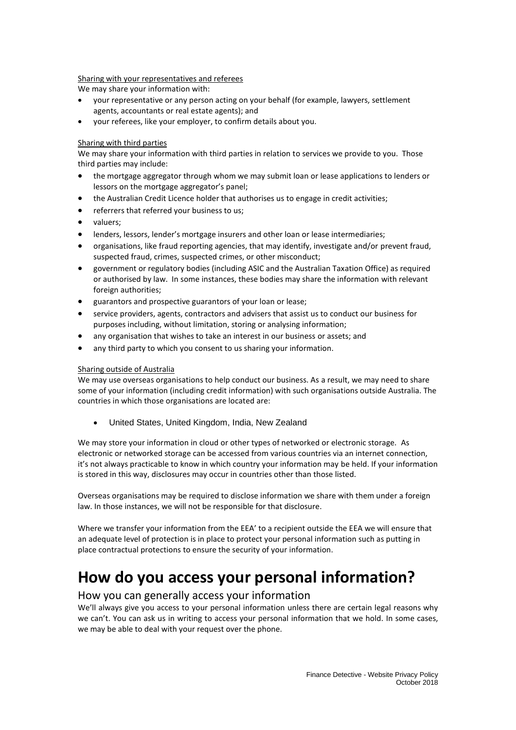### Sharing with your representatives and referees

We may share your information with:

- your representative or any person acting on your behalf (for example, lawyers, settlement agents, accountants or real estate agents); and
- your referees, like your employer, to confirm details about you.

### Sharing with third parties

We may share your information with third parties in relation to services we provide to you. Those third parties may include:

- the mortgage aggregator through whom we may submit loan or lease applications to lenders or lessors on the mortgage aggregator's panel;
- the Australian Credit Licence holder that authorises us to engage in credit activities;
- referrers that referred your business to us;
- valuers;
- lenders, lessors, lender's mortgage insurers and other loan or lease intermediaries;
- organisations, like fraud reporting agencies, that may identify, investigate and/or prevent fraud, suspected fraud, crimes, suspected crimes, or other misconduct;
- government or regulatory bodies (including ASIC and the Australian Taxation Office) as required or authorised by law. In some instances, these bodies may share the information with relevant foreign authorities;
- guarantors and prospective guarantors of your loan or lease;
- service providers, agents, contractors and advisers that assist us to conduct our business for purposes including, without limitation, storing or analysing information;
- any organisation that wishes to take an interest in our business or assets; and
- any third party to which you consent to us sharing your information.

### Sharing outside of Australia

We may use overseas organisations to help conduct our business. As a result, we may need to share some of your information (including credit information) with such organisations outside Australia. The countries in which those organisations are located are:

• United States, United Kingdom, India, New Zealand

We may store your information in cloud or other types of networked or electronic storage. As electronic or networked storage can be accessed from various countries via an internet connection, it's not always practicable to know in which country your information may be held. If your information is stored in this way, disclosures may occur in countries other than those listed.

Overseas organisations may be required to disclose information we share with them under a foreign law. In those instances, we will not be responsible for that disclosure.

Where we transfer your information from the EEA' to a recipient outside the EEA we will ensure that an adequate level of protection is in place to protect your personal information such as putting in place contractual protections to ensure the security of your information.

## **How do you access your personal information?**

### How you can generally access your information

We'll always give you access to your personal information unless there are certain legal reasons why we can't. You can ask us in writing to access your personal information that we hold. In some cases, we may be able to deal with your request over the phone.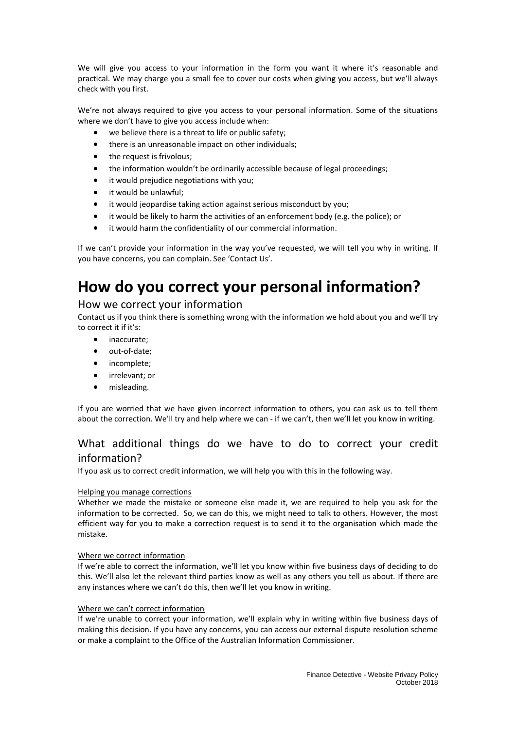We will give you access to your information in the form you want it where it's reasonable and practical. We may charge you a small fee to cover our costs when giving you access, but we'll always check with you first.

We're not always required to give you access to your personal information. Some of the situations where we don't have to give you access include when:

- we believe there is a threat to life or public safety;
- there is an unreasonable impact on other individuals;
- the request is frivolous;
- the information wouldn't be ordinarily accessible because of legal proceedings;
- it would prejudice negotiations with you;
- it would be unlawful:
- it would jeopardise taking action against serious misconduct by you;
- it would be likely to harm the activities of an enforcement body (e.g. the police); or
- it would harm the confidentiality of our commercial information.

If we can't provide your information in the way you've requested, we will tell you why in writing. If you have concerns, you can complain. See 'Contact Us'.

## **How do you correct your personal information?**

### How we correct your information

Contact us if you think there is something wrong with the information we hold about you and we'll try to correct it if it's:

- inaccurate;
- out-of-date;
- incomplete;
- irrelevant; or
- misleading.

If you are worried that we have given incorrect information to others, you can ask us to tell them about the correction. We'll try and help where we can - if we can't, then we'll let you know in writing.

## What additional things do we have to do to correct your credit information?

If you ask us to correct credit information, we will help you with this in the following way.

### Helping you manage corrections

Whether we made the mistake or someone else made it, we are required to help you ask for the information to be corrected. So, we can do this, we might need to talk to others. However, the most efficient way for you to make a correction request is to send it to the organisation which made the mistake.

### Where we correct information

If we're able to correct the information, we'll let you know within five business days of deciding to do this. We'll also let the relevant third parties know as well as any others you tell us about. If there are any instances where we can't do this, then we'll let you know in writing.

### Where we can't correct information

If we're unable to correct your information, we'll explain why in writing within five business days of making this decision. If you have any concerns, you can access our external dispute resolution scheme or make a complaint to the Office of the Australian Information Commissioner.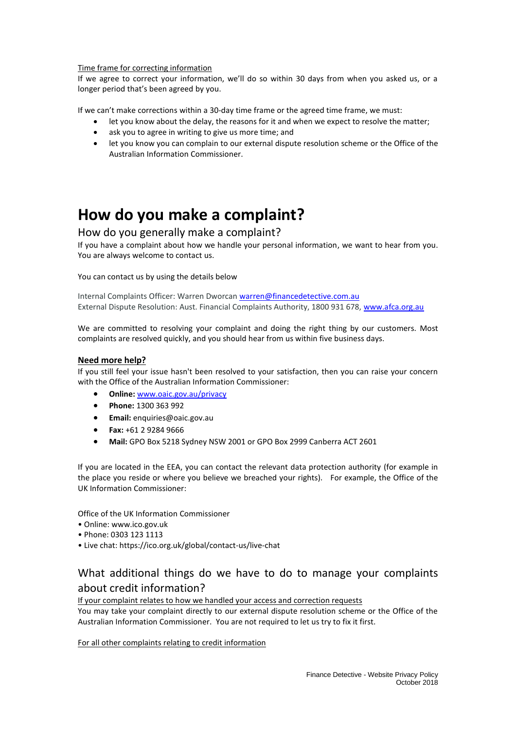#### Time frame for correcting information

If we agree to correct your information, we'll do so within 30 days from when you asked us, or a longer period that's been agreed by you.

If we can't make corrections within a 30-day time frame or the agreed time frame, we must:

- let you know about the delay, the reasons for it and when we expect to resolve the matter;
- ask you to agree in writing to give us more time; and
- let you know you can complain to our external dispute resolution scheme or the Office of the Australian Information Commissioner.

## **How do you make a complaint?**

### How do you generally make a complaint?

If you have a complaint about how we handle your personal information, we want to hear from you. You are always welcome to contact us.

### You can contact us by using the details below

Internal Complaints Officer: Warren Dworcan [warren@financedetective.com.au](mailto:warren@financedetective.com.au) External Dispute Resolution: Aust. Financial Complaints Authority, 1800 931 678[, www.afca.org.au](http://www.afca.org.au/)

We are committed to resolving your complaint and doing the right thing by our customers. Most complaints are resolved quickly, and you should hear from us within five business days.

### **Need more help?**

If you still feel your issue hasn't been resolved to your satisfaction, then you can raise your concern with the Office of the Australian Information Commissioner:

- **Online:** [www.oaic.gov.au/privacy](http://www.oaic.gov.au/privacy)
- **Phone:** 1300 363 992
- **Email:** [enquiries@oaic.gov.au](mailto:enquiries@oaic.gov.au)
- **Fax:** +61 2 9284 9666
- **Mail:** GPO Box 5218 Sydney NSW 2001 or GPO Box 2999 Canberra ACT 2601

If you are located in the EEA, you can contact the relevant data protection authority (for example in the place you reside or where you believe we breached your rights). For example, the Office of the UK Information Commissioner:

Office of the UK Information Commissioner

- Online: www.ico.gov.uk
- Phone: 0303 123 1113
- Live chat: <https://ico.org.uk/global/contact-us/live-chat>

## What additional things do we have to do to manage your complaints about credit information?

### If your complaint relates to how we handled your access and correction requests

You may take your complaint directly to our external dispute resolution scheme or the Office of the Australian Information Commissioner. You are not required to let us try to fix it first.

For all other complaints relating to credit information